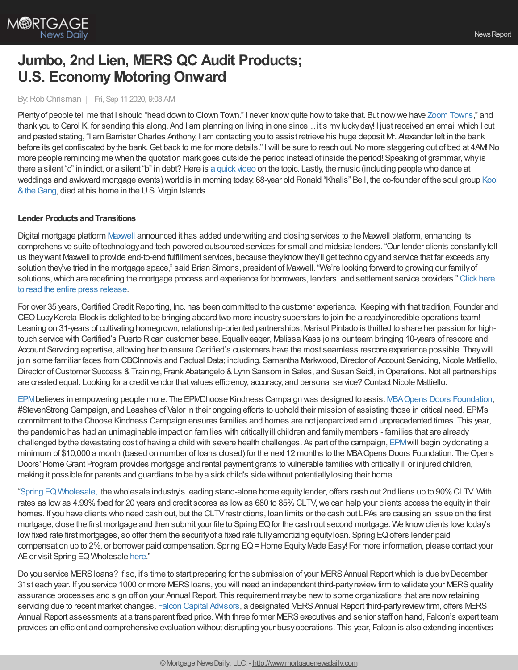

# **Jumbo, 2nd Lien, MERS QC Audit Products; U.S. Economy Motoring Onward**

#### By:Rob Chrisman | Fri, Sep 11 2020, 9:08 AM

Plenty of people tell me that I should "head down to Clown Town." I never know quite how to take that. But now we have Zoom [Towns,](https://www.npr.org/sections/money/2020/09/08/909680016/zoom-towns-and-the-new-housing-market-for-the-2-americas)" and thank you to Carol K. for sending this along. And I am planning on living in one since…it's myluckyday! I just received an email which I cut and pasted stating, "I am Barrister Charles Anthony, I am contacting you to assist retrieve his huge deposit Mr. Alexander left in the bank before its get confiscated by the bank. Get back to me for more details." I will be sure to reach out. No more staggering out of bed at 4AM! No more people reminding me when the quotation mark goes outside the period instead of inside the period! Speaking of grammar, why is there a silent "c" in indict, or a silent "b" in debt? Here is a [quick](https://www.merriam-webster.com/video/why-is-there-a-c-in-indict) video on the topic. Lastly, the music (including people who dance at weddings and awkward mortgage events) world is in morning today: 68-year old Ronald "Khalis" Bell, the co-founder of the soul group Kool & the Gang, died at his home in the U.S. Virgin Islands.

## **Lender Products and Transitions**

Digital mortgage platform [Maxwell](https://himaxwell.com/?utm_source=RC&utm_medium=RC_Press) announced it has added underwriting and closing services to the Maxwell platform, enhancing its comprehensive suite of technologyand tech-powered outsourced services for small and midsize lenders. "Our lender clients constantlytell us theywant Maxwell to provide end-to-end fulfillment services, because theyknowthey'll get technologyand service that far exceeds any solution they've tried in the mortgage space," said Brian Simons, president of Maxwell. "We're looking forward to growing our familyof solutions, which are redefining the mortgage process and experience for borrowers, lenders, and settlement service providers." Click here to read the entire press release.

For over 35 years, Certified Credit Reporting, Inc. has been committed to the customer experience. Keeping with that tradition, Founder and CEOLucyKereta-Block is delighted to be bringing aboard two more industrysuperstars to join the alreadyincredible operations team! Leaning on 31-years of cultivating homegrown, relationship-oriented partnerships, Marisol Pintado is thrilled to share her passion for hightouch service with Certified's Puerto Rican customer base. Equallyeager, Melissa Kass joins our team bringing 10-years of rescore and Account Servicing expertise, allowing her to ensure Certified's customers have the most seamless rescore experience possible. Theywill join some familiar faces from CBCInnovis and Factual Data; including, Samantha Markwood, Director of Account Servicing, Nicole Mattiello, Director of Customer Success & Training, Frank Abatangelo & Lynn Sansom in Sales, and Susan Seidl, in Operations. Not all partnerships are created equal. Looking for a credit vendor that values efficiency, accuracy, and personal service? Contact Nicole Mattiello.

[EPM](https://www.epm.net/)believes in empowering people more. The EPMChoose Kindness Campaign was designed to assist [MBAOpens](https://www.mbaopensdoors.org/index.php) Doors Foundation, #StevenStrong Campaign, and Leashes of Valor in their ongoing efforts to uphold their mission of assisting those in critical need. EPM's commitment to the Choose Kindness Campaign ensures families and homes are not jeopardized amid unprecedented times. This year, the pandemic has had an unimaginable impact on families with criticallyill children and familymembers - families that are already challenged bythe devastating cost of having a child with severe health challenges. As part of the campaign, [EPM](https://www.epm.net/)will begin bydonating a minimum of \$10,000 a month (based on number of loans closed) for the next 12 months to the MBA Opens Doors Foundation. The Opens Doors' HomeGrant Program provides mortgage and rental payment grants to vulnerable families with criticallyill or injured children, making it possible for parents and guardians to be bya sick child's side without potentiallylosing their home.

"Spring [EQWholesale,](https://www.wholesale.springeq.com/?utm_source=rc) the wholesale industry's leading stand-alone home equitylender, offers cash out 2nd liens up to 90%CLTV. With rates as low as 4.99% fixed for 20 years and credit scores as low as 680 to 85% CLTV, we can help your clients access the equity in their homes. If you have clients who need cash out, but the CLTVrestrictions, loan limits or the cash out LPAs are causing an issue on the first mortgage, close the first mortgage and then submit your file to Spring EQ for the cash out second mortgage. We know clients love today's lowfixed rate first mortgages, so offer them the securityof a fixed rate fullyamortizing equityloan. Spring EQoffers lender paid compensation up to 2%, or borrower paid compensation. Spring EQ = Home Equity Made Easy! For more information, please contact your AE or visit Spring EQ Wholesale [here](http://springeq-6059604.hs-sites.com/we-do-what-other-home-equity-lenders-dont)."

Do you service MERS loans? If so, it's time to start preparing for the submission of your MERS Annual Report which is due by December 31st each year. If you service 1000 or more MERS loans, you will need an independent third-party review firm to validate your MERS quality assurance processes and sign off on your Annual Report. This requirement maybe newto some organizations that are nowretaining servicing due to recent market changes. Falcon Capital [Advisors,](http://www.falconcapitaladvisors.com/) a designated MERS Annual Report third-party review firm, offers MERS Annual Report assessments at a transparent fixed price. With three former MERS executives and senior staff on hand, Falcon's expert team provides an efficient and comprehensive evaluation without disrupting your busyoperations. This year, Falcon is also extending incentives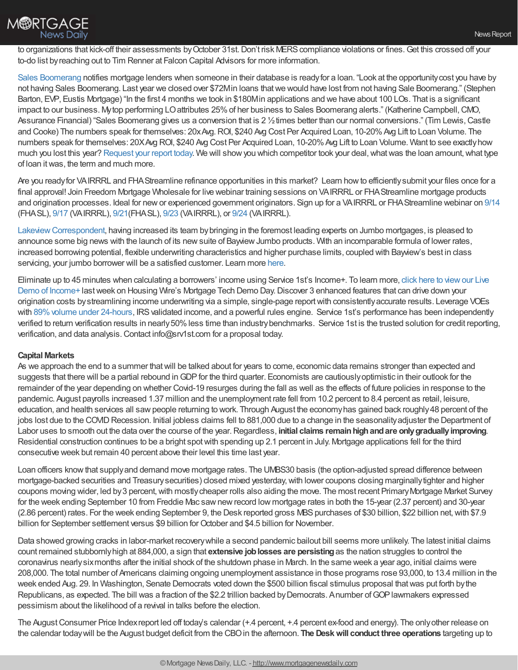

to organizations that kick-off their assessments by October 31st. Don't risk MERS compliance violations or fines. Get this crossed off your to-do list byreaching out to Tim Renner at Falcon Capital Advisors for more information.

Sales [Boomerang](https://hubs.ly/H0vBYJr0) notifies mortgage lenders when someone in their database is ready for a loan. "Look at the opportunity cost you have by not having Sales Boomerang. Last year we closed over \$72Min loans that we would have lost from not having Sale Boomerang." (Stephen Barton, EVP, Eustis Mortgage) "In the first 4 months we took in \$180Min applications and we have about 100 LOs. That is a significant impact to our business. My top performing LO attributes 25% of her business to Sales Boomerang alerts." (Katherine Campbell, CMO, Assurance Financial) "Sales Boomerang gives us a conversion that is 2 1/2 times better than our normal conversions." (Tim Lewis, Castle and Cooke) The numbers speak for themselves: 20xAvg.ROI, \$240 Avg Cost Per Acquired Loan, 10-20%Avg Lift to Loan Volume. The numbers speak for themselves: 20XAvg ROI, \$240 Avg Cost Per Acquired Loan, 10-20% Avg Lift to Loan Volume. Want to see exactly how much you lost this year? [Request](https://hubs.ly/H0sx4nY0) your report today. We will show you which competitor took your deal, what was the loan amount, what type of loan itwas, the term and much more.

Are you readyfor VAIRRRL and FHAStreamline refinance opportunities in this market? Learn howto efficientlysubmit your files once for a final approval! Join Freedom Mortgage Wholesale for live webinar training sessions on VAIRRRL or FHAStreamline mortgage products and origination processes. Ideal for newor experienced government originators. Sign up for a VAIRRRL or FHAStreamline webinar on [9/14](https://freedom.zoom.us/meeting/register/tJYpf-qhrTIqHNAPQg4T6ovgMxobh7H4bpBQ?_x_zm_rtaid=ac0lcQ1nTuKVs8wImHM5GQ.1599597645477.4dda6b8fb62e737bbd171bee9457f1fd&_x_zm_rhtaid=921) (FHASL), [9/17](https://freedom.zoom.us/meeting/register/tJcvf-GtqDoiHtHQp-66n1VfYBseafFEz0Zz?_x_zm_rtaid=ac0lcQ1nTuKVs8wImHM5GQ.1599597645477.4dda6b8fb62e737bbd171bee9457f1fd&_x_zm_rhtaid=921) (VAIRRRL), [9/21\(](https://freedom.zoom.us/meeting/register/tJUvf-6rrTIjEtz2CsLRHmEfdY3LR91TzKy9?_x_zm_rtaid=ac0lcQ1nTuKVs8wImHM5GQ.1599597645477.4dda6b8fb62e737bbd171bee9457f1fd&_x_zm_rhtaid=921)FHASL), [9/23](https://freedom.zoom.us/meeting/register/tJUrc-CprTgoHdAyIFlmGwArCIOHZZ1QI55J?_x_zm_rtaid=ac0lcQ1nTuKVs8wImHM5GQ.1599597645477.4dda6b8fb62e737bbd171bee9457f1fd&_x_zm_rhtaid=921) (VAIRRRL), or [9/24](https://freedom.zoom.us/meeting/register/tJwpd-muqT8qHtfmIufhA_Hb9uKE8u0dTpS-?_x_zm_rtaid=ac0lcQ1nTuKVs8wImHM5GQ.1599597645477.4dda6b8fb62e737bbd171bee9457f1fd&_x_zm_rhtaid=921) (VAIRRRL).

Lakeview Correspondent, having increased its team by bringing in the foremost leading experts on Jumbo mortgages, is pleased to announce some big news with the launch of its new suite of Bayview Jumbo products. With an incomparable formula of lower rates, increased borrowing potential, flexible underwriting characteristics and higher purchase limits, coupled with Bayview's best in class servicing, your jumbo borrower will be a satisfied customer. Learn more [here](https://lakeviewcorrespondent.com/jumbo-products/).

Eliminate up to 45 minutes when calculating a borrowers' income using Service 1st's Income+. To learn more, click here to viewour Live Demo of Income+ last week on Housing Wire's Mortgage Tech Demo Day. Discover 3 enhanced features that can drive down your origination costs bystreamlining income underwriting via a simple, single-page reportwith consistentlyaccurate results. Leverage VOEs with 89% volume under 24-hours, IRS validated income, and a powerful rules engine. Service 1st's performance has been independently verified to return verification results in nearly50%less time than industrybenchmarks. Service 1st is the trusted solution for credit reporting, verification, and data analysis.Contact info@srv1st.com for a proposal today.

## **Capital Markets**

As we approach the end to a summer thatwill be talked about for years to come, economic data remains stronger than expected and suggests that there will be a partial rebound in GDP for the third quarter. Economists are cautiously optimistic in their outlook for the remainder of the year depending on whether Covid-19 resurges during the fall as well as the effects of future policies in response to the pandemic. August payrolls increased 1.37 million and the unemployment rate fell from 10.2 percent to 8.4 percent as retail, leisure, education, and health services all sawpeople returning to work. Through August the economyhas gained back roughly48 percent of the jobs lost due to the COVID Recession. Initial jobless claims fell to 881,000 due to a change in the seasonality adjuster the Department of Labor uses to smooth out the data over the course of the year. Regardless, **initial claims remain high and are only gradually improving**. Residential construction continues to be a bright spotwith spending up 2.1 percent in July. Mortgage applications fell for the third consecutive week but remain 40 percent above their level this time last year.

Loan officers knowthat supplyand demand move mortgage rates. The UMBS30 basis (the option-adjusted spread difference between mortgage-backed securities and Treasurysecurities) closed mixed yesterday,with lower coupons closing marginallytighter and higher coupons moving wider, led by 3 percent, with mostly cheaper rolls also aiding the move. The most recent Primary Mortgage Market Survey for the week ending September 10 from Freddie Mac sawnewrecord low mortgage rates in both the 15-year (2.37 percent) and 30-year (2.86 percent) rates. For the week ending September 9, the Desk reported gross MBS purchases of \$30 billion, \$22 billion net, with \$7.9 billion for September settlement versus \$9 billion for October and \$4.5 billion for November.

Data showed growing cracks in labor-market recoverywhile a second pandemic bailout bill seems more unlikely. The latest initial claims count remained stubbornlyhigh at 884,000, a sign that **extensive joblosses are persisting**as the nation struggles to control the coronavirus nearlysixmonths after the initial shock of the shutdown phase in March. In the same week a year ago, initial claims were 208,000. The total number of Americans claiming ongoing unemployment assistance in those programs rose 93,000, to 13.4 million in the week ended Aug. 29. In Washington, Senate Democrats voted down the \$500 billion fiscal stimulus proposal thatwas put forth bythe Republicans, as expected. The bill was a fraction of the \$2.2 trillion backed by Democrats. Anumber of GOP lawmakers expressed pessimism about the likelihood of a revival in talks before the election.

The August Consumer Price Index report led off today's calendar (+.4 percent, +.4 percent ex-food and energy). The only other release on the calendar todaywill be the August budget deficit from the CBOin the afternoon. **The Deskwill conduct three operations** targeting up to